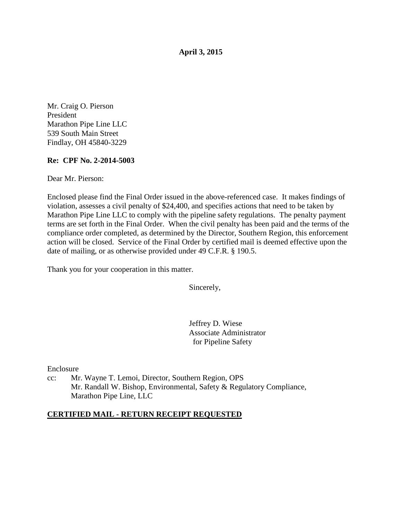**April 3, 2015** 

Mr. Craig O. Pierson President Marathon Pipe Line LLC 539 South Main Street Findlay, OH 45840-3229

## **Re: CPF No. 2-2014-5003**

Dear Mr. Pierson:

Enclosed please find the Final Order issued in the above-referenced case. It makes findings of violation, assesses a civil penalty of \$24,400, and specifies actions that need to be taken by Marathon Pipe Line LLC to comply with the pipeline safety regulations. The penalty payment terms are set forth in the Final Order. When the civil penalty has been paid and the terms of the compliance order completed, as determined by the Director, Southern Region, this enforcement action will be closed. Service of the Final Order by certified mail is deemed effective upon the date of mailing, or as otherwise provided under 49 C.F.R. § 190.5.

Thank you for your cooperation in this matter.

Sincerely,

Jeffrey D. Wiese Associate Administrator for Pipeline Safety

Enclosure

cc: Mr. Wayne T. Lemoi, Director, Southern Region, OPS Mr. Randall W. Bishop, Environmental, Safety & Regulatory Compliance, Marathon Pipe Line, LLC

#### **CERTIFIED MAIL - RETURN RECEIPT REQUESTED**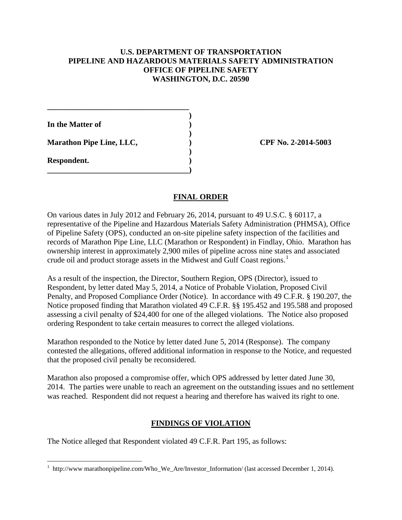## **U.S. DEPARTMENT OF TRANSPORTATION PIPELINE AND HAZARDOUS MATERIALS SAFETY ADMINISTRATION OFFICE OF PIPELINE SAFETY WASHINGTON, D.C. 20590**

 **) In the Matter of )** 

Marathon Pipe Line, LLC,  $\qquad \qquad$  (PF No. 2-2014-5003)

**\_\_\_\_\_\_\_\_\_\_\_\_\_\_\_\_\_\_\_\_\_\_\_\_\_\_\_\_\_\_\_\_\_\_\_\_** 

 **)** 

 **)** 

**\_\_\_\_\_\_\_\_\_\_\_\_\_\_\_\_\_\_\_\_\_\_\_\_\_\_\_\_\_\_\_\_\_\_\_\_)** 

**Respondent. )** 

# **FINAL ORDER**

On various dates in July 2012 and February 26, 2014, pursuant to 49 U.S.C. § 60117, a representative of the Pipeline and Hazardous Materials Safety Administration (PHMSA), Office of Pipeline Safety (OPS), conducted an on-site pipeline safety inspection of the facilities and records of Marathon Pipe Line, LLC (Marathon or Respondent) in Findlay, Ohio. Marathon has ownership interest in approximately 2,900 miles of pipeline across nine states and associated crude oil and product storage assets in the Midwest and Gulf Coast regions.<sup>1</sup>

As a result of the inspection, the Director, Southern Region, OPS (Director), issued to Respondent, by letter dated May 5, 2014, a Notice of Probable Violation, Proposed Civil Penalty, and Proposed Compliance Order (Notice). In accordance with 49 C.F.R. § 190.207, the Notice proposed finding that Marathon violated 49 C.F.R. §§ 195.452 and 195.588 and proposed assessing a civil penalty of \$24,400 for one of the alleged violations. The Notice also proposed ordering Respondent to take certain measures to correct the alleged violations.

Marathon responded to the Notice by letter dated June 5, 2014 (Response). The company contested the allegations, offered additional information in response to the Notice, and requested that the proposed civil penalty be reconsidered.

Marathon also proposed a compromise offer, which OPS addressed by letter dated June 30, 2014. The parties were unable to reach an agreement on the outstanding issues and no settlement was reached. Respondent did not request a hearing and therefore has waived its right to one.

# **FINDINGS OF VIOLATION**

The Notice alleged that Respondent violated 49 C.F.R. Part 195, as follows:

 $\overline{a}$ <sup>1</sup> http://www marathonpipeline.com/Who\_We\_Are/Investor\_Information/ (last accessed December 1, 2014).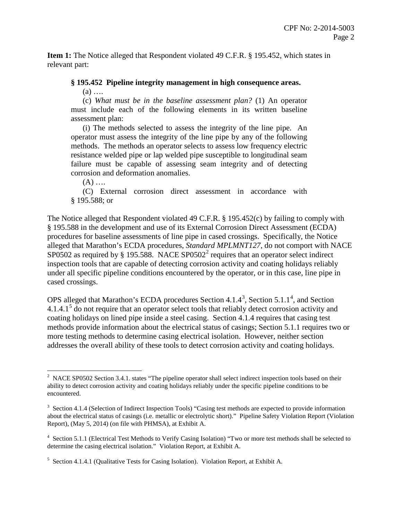**Item 1:** The Notice alleged that Respondent violated 49 C.F.R. § 195.452, which states in relevant part:

#### **§ 195.452 Pipeline integrity management in high consequence areas.**

 $(a)$  ...

(c) *What must be in the baseline assessment plan?* (1) An operator must include each of the following elements in its written baseline assessment plan:

(i) The methods selected to assess the integrity of the line pipe. An operator must assess the integrity of the line pipe by any of the following methods. The methods an operator selects to assess low frequency electric resistance welded pipe or lap welded pipe susceptible to longitudinal seam failure must be capable of assessing seam integrity and of detecting corrosion and deformation anomalies.

 $(A)$  ....

(C) External corrosion direct assessment in accordance with § 195.588; or

The Notice alleged that Respondent violated 49 C.F.R. § 195.452(c) by failing to comply with § 195.588 in the development and use of its External Corrosion Direct Assessment (ECDA) procedures for baseline assessments of line pipe in cased crossings. Specifically, the Notice alleged that Marathon's ECDA procedures, *Standard MPLMNT127*, do not comport with NACE SP0502 as required by § 195.588. NACE SP0502<sup>2</sup> requires that an operator select indirect inspection tools that are capable of detecting corrosion activity and coating holidays reliably under all specific pipeline conditions encountered by the operator, or in this case, line pipe in cased crossings.

OPS alleged that Marathon's ECDA procedures Section  $4.1.4^3$ , Section  $5.1.1^4$ , and Section 4.1.4.1<sup>5</sup> do not require that an operator select tools that reliably detect corrosion activity and coating holidays on lined pipe inside a steel casing. Section 4.1.4 requires that casing test methods provide information about the electrical status of casings; Section 5.1.1 requires two or more testing methods to determine casing electrical isolation. However, neither section addresses the overall ability of these tools to detect corrosion activity and coating holidays.

 $\overline{a}$  $2$  NACE SP0502 Section 3.4.1. states "The pipeline operator shall select indirect inspection tools based on their ability to detect corrosion activity and coating holidays reliably under the specific pipeline conditions to be encountered.

<sup>&</sup>lt;sup>3</sup> Section 4.1.4 (Selection of Indirect Inspection Tools) "Casing test methods are expected to provide information about the electrical status of casings (i.e. metallic or electrolytic short)." Pipeline Safety Violation Report (Violation Report), (May 5, 2014) (on file with PHMSA), at Exhibit A.

<sup>&</sup>lt;sup>4</sup> Section 5.1.1 (Electrical Test Methods to Verify Casing Isolation) "Two or more test methods shall be selected to determine the casing electrical isolation." Violation Report, at Exhibit A.

<sup>&</sup>lt;sup>5</sup> Section 4.1.4.1 (Qualitative Tests for Casing Isolation). Violation Report, at Exhibit A.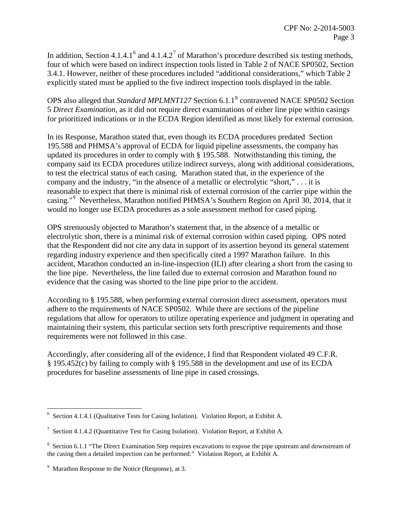In addition, Section 4.1.4.1<sup>6</sup> and 4.1.4.2<sup>7</sup> of Marathon's procedure described six testing methods, four of which were based on indirect inspection tools listed in Table 2 of NACE SP0502, Section 3.4.1. However, neither of these procedures included "additional considerations," which Table 2 explicitly stated must be applied to the five indirect inspection tools displayed in the table.

OPS also alleged that *Standard MPLMNT127* Section 6.1.1<sup>8</sup> contravened NACE SP0502 Section 5 *Direct Examination,* as it did not require direct examinations of either line pipe within casings for prioritized indications or in the ECDA Region identified as most likely for external corrosion.

In its Response, Marathon stated that, even though its ECDA procedures predated Section 195.588 and PHMSA's approval of ECDA for liquid pipeline assessments, the company has updated its procedures in order to comply with § 195.588. Notwithstanding this timing, the company said its ECDA procedures utilize indirect surveys, along with additional considerations, to test the electrical status of each casing. Marathon stated that, in the experience of the company and the industry, "in the absence of a metallic or electrolytic "short," . . . it is reasonable to expect that there is minimal risk of external corrosion of the carrier pipe within the casing."<sup>9</sup> Nevertheless, Marathon notified PHMSA's Southern Region on April 30, 2014, that it would no longer use ECDA procedures as a sole assessment method for cased piping.

OPS strenuously objected to Marathon's statement that, in the absence of a metallic or electrolytic short, there is a minimal risk of external corrosion within cased piping. OPS noted that the Respondent did not cite any data in support of its assertion beyond its general statement regarding industry experience and then specifically cited a 1997 Marathon failure. In this accident, Marathon conducted an in-line-inspection (ILI) after clearing a short from the casing to the line pipe. Nevertheless, the line failed due to external corrosion and Marathon found no evidence that the casing was shorted to the line pipe prior to the accident.

According to § 195.588, when performing external corrosion direct assessment, operators must adhere to the requirements of NACE SP0502. While there are sections of the pipeline regulations that allow for operators to utilize operating experience and judgment in operating and maintaining their system, this particular section sets forth prescriptive requirements and those requirements were not followed in this case.

Accordingly, after considering all of the evidence, I find that Respondent violated 49 C.F.R. § 195.452(c) by failing to comply with § 195.588 in the development and use of its ECDA procedures for baseline assessments of line pipe in cased crossings.

 6 Section 4.1.4.1 (Qualitative Tests for Casing Isolation). Violation Report, at Exhibit A.

<sup>&</sup>lt;sup>7</sup> Section 4.1.4.2 (Quantitative Test for Casing Isolation). Violation Report, at Exhibit A.

<sup>&</sup>lt;sup>8</sup> Section 6.1.1 "The Direct Examination Step requires excavations to expose the pipe upstream and downstream of the casing then a detailed inspection can be performed." Violation Report, at Exhibit A.

<sup>&</sup>lt;sup>9</sup> Marathon Response to the Notice (Response), at 3.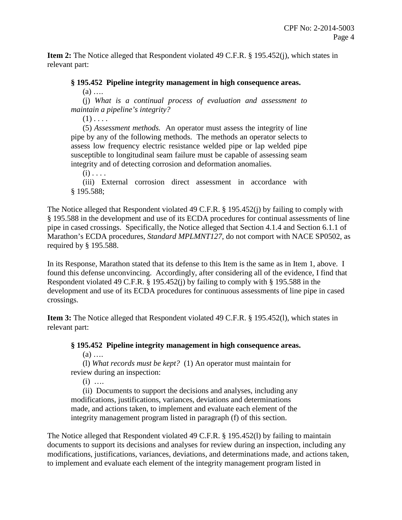**Item 2:** The Notice alleged that Respondent violated 49 C.F.R. § 195.452(j), which states in relevant part:

## **§ 195.452 Pipeline integrity management in high consequence areas.**

 $(a)$  ...

(j) *What is a continual process of evaluation and assessment to maintain a pipeline's integrity?* 

 $(1)$  . . . .

(5) *Assessment methods.* An operator must assess the integrity of line pipe by any of the following methods. The methods an operator selects to assess low frequency electric resistance welded pipe or lap welded pipe susceptible to longitudinal seam failure must be capable of assessing seam integrity and of detecting corrosion and deformation anomalies.

 $(i)$ ... (iii) External corrosion direct assessment in accordance with § 195.588;

The Notice alleged that Respondent violated 49 C.F.R. § 195.452(j) by failing to comply with § 195.588 in the development and use of its ECDA procedures for continual assessments of line pipe in cased crossings. Specifically, the Notice alleged that Section 4.1.4 and Section 6.1.1 of Marathon's ECDA procedures, *Standard MPLMNT127*, do not comport with NACE SP0502, as required by § 195.588.

In its Response, Marathon stated that its defense to this Item is the same as in Item 1, above. I found this defense unconvincing. Accordingly, after considering all of the evidence, I find that Respondent violated 49 C.F.R. § 195.452(j) by failing to comply with § 195.588 in the development and use of its ECDA procedures for continuous assessments of line pipe in cased crossings.

**Item 3:** The Notice alleged that Respondent violated 49 C.F.R. § 195.452(l), which states in relevant part:

# **§ 195.452 Pipeline integrity management in high consequence areas.**

 $(a)$  ....

(l) *What records must be kept?* (1) An operator must maintain for review during an inspection:

 $(i)$  …

(ii) Documents to support the decisions and analyses, including any modifications, justifications, variances, deviations and determinations made, and actions taken, to implement and evaluate each element of the integrity management program listed in paragraph (f) of this section.

The Notice alleged that Respondent violated 49 C.F.R. § 195.452(l) by failing to maintain documents to support its decisions and analyses for review during an inspection, including any modifications, justifications, variances, deviations, and determinations made, and actions taken, to implement and evaluate each element of the integrity management program listed in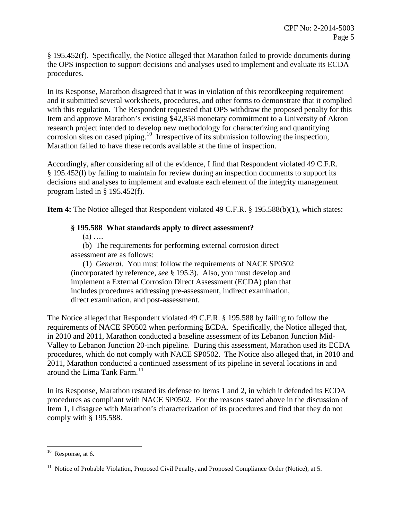§ 195.452(f). Specifically, the Notice alleged that Marathon failed to provide documents during the OPS inspection to support decisions and analyses used to implement and evaluate its ECDA procedures.

In its Response, Marathon disagreed that it was in violation of this recordkeeping requirement and it submitted several worksheets, procedures, and other forms to demonstrate that it complied with this regulation. The Respondent requested that OPS withdraw the proposed penalty for this Item and approve Marathon's existing \$42,858 monetary commitment to a University of Akron research project intended to develop new methodology for characterizing and quantifying corrosion sites on cased piping.<sup>10</sup> Irrespective of its submission following the inspection, Marathon failed to have these records available at the time of inspection.

Accordingly, after considering all of the evidence, I find that Respondent violated 49 C.F.R. § 195.452(l) by failing to maintain for review during an inspection documents to support its decisions and analyses to implement and evaluate each element of the integrity management program listed in § 195.452(f).

**Item 4:** The Notice alleged that Respondent violated 49 C.F.R. § 195.588(b)(1), which states:

## **§ 195.588 What standards apply to direct assessment?**

 $(a)$  ....

(b) The requirements for performing external corrosion direct assessment are as follows:

(1) *General.* You must follow the requirements of NACE SP0502 (incorporated by reference, *see* § 195.3). Also, you must develop and implement a External Corrosion Direct Assessment (ECDA) plan that includes procedures addressing pre-assessment, indirect examination, direct examination, and post-assessment.

The Notice alleged that Respondent violated 49 C.F.R. § 195.588 by failing to follow the requirements of NACE SP0502 when performing ECDA. Specifically, the Notice alleged that, in 2010 and 2011, Marathon conducted a baseline assessment of its Lebanon Junction Mid-Valley to Lebanon Junction 20-inch pipeline. During this assessment, Marathon used its ECDA procedures, which do not comply with NACE SP0502. The Notice also alleged that, in 2010 and 2011, Marathon conducted a continued assessment of its pipeline in several locations in and around the Lima Tank Farm. $11$ 

In its Response, Marathon restated its defense to Items 1 and 2, in which it defended its ECDA procedures as compliant with NACE SP0502. For the reasons stated above in the discussion of Item 1, I disagree with Marathon's characterization of its procedures and find that they do not comply with § 195.588.

 $\overline{a}$ 

 $10$  Response, at 6.

<sup>&</sup>lt;sup>11</sup> Notice of Probable Violation, Proposed Civil Penalty, and Proposed Compliance Order (Notice), at 5.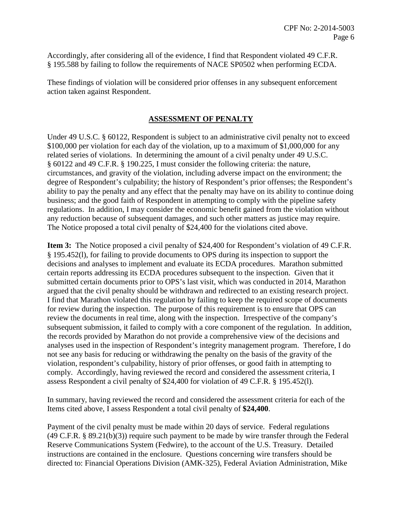Accordingly, after considering all of the evidence, I find that Respondent violated 49 C.F.R. § 195.588 by failing to follow the requirements of NACE SP0502 when performing ECDA.

These findings of violation will be considered prior offenses in any subsequent enforcement action taken against Respondent.

# **ASSESSMENT OF PENALTY**

Under 49 U.S.C. § 60122, Respondent is subject to an administrative civil penalty not to exceed \$100,000 per violation for each day of the violation, up to a maximum of \$1,000,000 for any related series of violations. In determining the amount of a civil penalty under 49 U.S.C. § 60122 and 49 C.F.R. § 190.225, I must consider the following criteria: the nature, circumstances, and gravity of the violation, including adverse impact on the environment; the degree of Respondent's culpability; the history of Respondent's prior offenses; the Respondent's ability to pay the penalty and any effect that the penalty may have on its ability to continue doing business; and the good faith of Respondent in attempting to comply with the pipeline safety regulations. In addition, I may consider the economic benefit gained from the violation without any reduction because of subsequent damages, and such other matters as justice may require. The Notice proposed a total civil penalty of \$24,400 for the violations cited above.

**Item 3:** The Notice proposed a civil penalty of \$24,400 for Respondent's violation of 49 C.F.R. § 195.452(l), for failing to provide documents to OPS during its inspection to support the decisions and analyses to implement and evaluate its ECDA procedures. Marathon submitted certain reports addressing its ECDA procedures subsequent to the inspection. Given that it submitted certain documents prior to OPS's last visit, which was conducted in 2014, Marathon argued that the civil penalty should be withdrawn and redirected to an existing research project. I find that Marathon violated this regulation by failing to keep the required scope of documents for review during the inspection. The purpose of this requirement is to ensure that OPS can review the documents in real time, along with the inspection. Irrespective of the company's subsequent submission, it failed to comply with a core component of the regulation. In addition, the records provided by Marathon do not provide a comprehensive view of the decisions and analyses used in the inspection of Respondent's integrity management program. Therefore, I do not see any basis for reducing or withdrawing the penalty on the basis of the gravity of the violation, respondent's culpability, history of prior offenses, or good faith in attempting to comply. Accordingly, having reviewed the record and considered the assessment criteria, I assess Respondent a civil penalty of \$24,400 for violation of 49 C.F.R. § 195.452(l).

In summary, having reviewed the record and considered the assessment criteria for each of the Items cited above, I assess Respondent a total civil penalty of **\$24,400**.

Payment of the civil penalty must be made within 20 days of service. Federal regulations (49 C.F.R. § 89.21(b)(3)) require such payment to be made by wire transfer through the Federal Reserve Communications System (Fedwire), to the account of the U.S. Treasury. Detailed instructions are contained in the enclosure. Questions concerning wire transfers should be directed to: Financial Operations Division (AMK-325), Federal Aviation Administration, Mike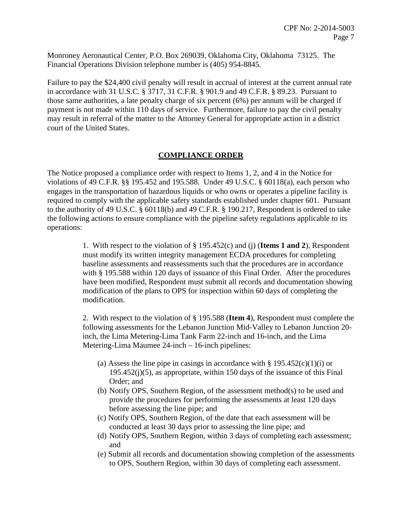Monroney Aeronautical Center, P.O. Box 269039, Oklahoma City, Oklahoma 73125. The Financial Operations Division telephone number is (405) 954-8845.

Failure to pay the \$24,400 civil penalty will result in accrual of interest at the current annual rate in accordance with 31 U.S.C. § 3717, 31 C.F.R. § 901.9 and 49 C.F.R. § 89.23. Pursuant to those same authorities, a late penalty charge of six percent (6%) per annum will be charged if payment is not made within 110 days of service. Furthermore, failure to pay the civil penalty may result in referral of the matter to the Attorney General for appropriate action in a district court of the United States.

## **COMPLIANCE ORDER**

The Notice proposed a compliance order with respect to Items 1, 2, and 4 in the Notice for violations of 49 C.F.R. §§ 195.452 and 195.588. Under 49 U.S.C. § 60118(a), each person who engages in the transportation of hazardous liquids or who owns or operates a pipeline facility is required to comply with the applicable safety standards established under chapter 601. Pursuant to the authority of 49 U.S.C. § 60118(b) and 49 C.F.R. § 190.217, Respondent is ordered to take the following actions to ensure compliance with the pipeline safety regulations applicable to its operations:

> 1. With respect to the violation of § 195.452(c) and (j) (**Items 1 and 2**), Respondent must modify its written integrity management ECDA procedures for completing baseline assessments and reassessments such that the procedures are in accordance with § 195.588 within 120 days of issuance of this Final Order. After the procedures have been modified, Respondent must submit all records and documentation showing modification of the plans to OPS for inspection within 60 days of completing the modification.

> 2. With respect to the violation of § 195.588 (**Item 4**), Respondent must complete the following assessments for the Lebanon Junction Mid-Valley to Lebanon Junction 20 inch, the Lima Metering-Lima Tank Farm 22-inch and 16-inch, and the Lima Metering-Lima Maumee 24-inch – 16-inch pipelines:

- (a) Assess the line pipe in casings in accordance with  $\S 195.452(c)(1)(i)$  or  $195.452(i)(5)$ , as appropriate, within 150 days of the issuance of this Final Order; and
- (b) Notify OPS, Southern Region, of the assessment method(s) to be used and provide the procedures for performing the assessments at least 120 days before assessing the line pipe; and
- (c) Notify OPS, Southern Region, of the date that each assessment will be conducted at least 30 days prior to assessing the line pipe; and
- (d) Notify OPS, Southern Region, within 3 days of completing each assessment; and
- (e) Submit all records and documentation showing completion of the assessments to OPS, Southern Region, within 30 days of completing each assessment.